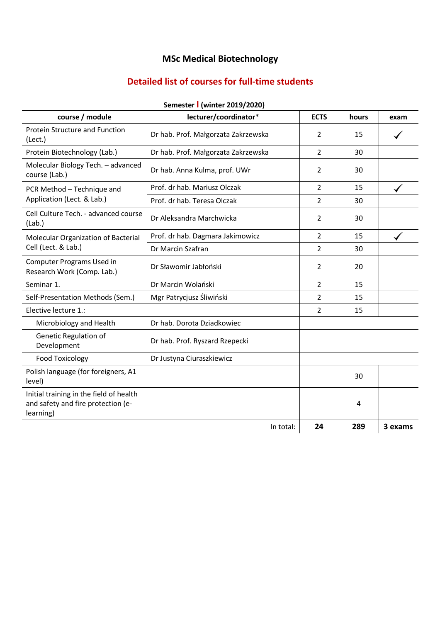# **MSc Medical Biotechnology**

## **Detailed list of courses for full-time students**

| course / module                                                                            | lecturer/coordinator*               | <b>ECTS</b>    | hours | exam    |
|--------------------------------------------------------------------------------------------|-------------------------------------|----------------|-------|---------|
| Protein Structure and Function<br>(Lect.)                                                  | Dr hab. Prof. Małgorzata Zakrzewska | 2              | 15    |         |
| Protein Biotechnology (Lab.)                                                               | Dr hab. Prof. Małgorzata Zakrzewska | $\overline{2}$ | 30    |         |
| Molecular Biology Tech. - advanced<br>course (Lab.)                                        | Dr hab. Anna Kulma, prof. UWr       | 2              | 30    |         |
| PCR Method - Technique and<br>Application (Lect. & Lab.)                                   | Prof. dr hab. Mariusz Olczak        | $\overline{2}$ | 15    |         |
|                                                                                            | Prof. dr hab. Teresa Olczak         | $\overline{2}$ | 30    |         |
| Cell Culture Tech. - advanced course<br>(Lab.)                                             | Dr Aleksandra Marchwicka            | $\overline{2}$ | 30    |         |
| Molecular Organization of Bacterial                                                        | Prof. dr hab. Dagmara Jakimowicz    | $\overline{2}$ | 15    |         |
| Cell (Lect. & Lab.)                                                                        | Dr Marcin Szafran                   | $\overline{2}$ | 30    |         |
| Computer Programs Used in<br>Research Work (Comp. Lab.)                                    | Dr Sławomir Jabłoński               | 2              | 20    |         |
| Seminar 1.                                                                                 | Dr Marcin Wolański                  | 2              | 15    |         |
| Self-Presentation Methods (Sem.)                                                           | Mgr Patrycjusz Śliwiński            | 2              | 15    |         |
| Elective lecture 1.:                                                                       |                                     | $\overline{2}$ | 15    |         |
| Microbiology and Health                                                                    | Dr hab. Dorota Dziadkowiec          |                |       |         |
| Genetic Regulation of<br>Development                                                       | Dr hab. Prof. Ryszard Rzepecki      |                |       |         |
| <b>Food Toxicology</b>                                                                     | Dr Justyna Ciuraszkiewicz           |                |       |         |
| Polish language (for foreigners, A1<br>level)                                              |                                     |                | 30    |         |
| Initial training in the field of health<br>and safety and fire protection (e-<br>learning) |                                     |                | 4     |         |
|                                                                                            | In total:                           | 24             | 289   | 3 exams |

#### **Semester I (winter 2019/2020)**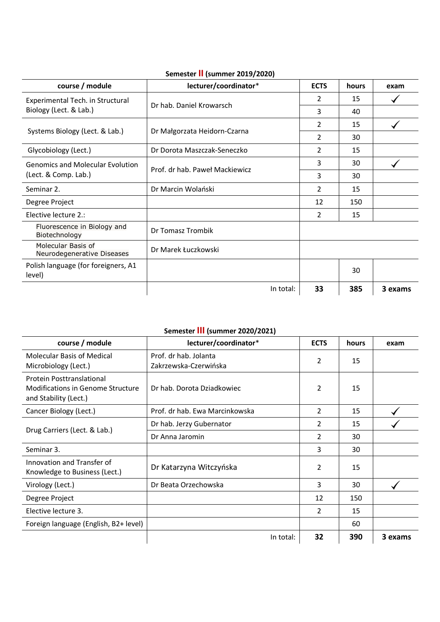| course / module                                  | lecturer/coordinator*          | <b>ECTS</b>    | hours | exam    |
|--------------------------------------------------|--------------------------------|----------------|-------|---------|
| Experimental Tech. in Structural                 | Dr hab. Daniel Krowarsch       | 2              | 15    |         |
| Biology (Lect. & Lab.)                           |                                | 3              | 40    |         |
| Systems Biology (Lect. & Lab.)                   | Dr Małgorzata Heidorn-Czarna   | 2              | 15    |         |
|                                                  |                                | 2              | 30    |         |
| Glycobiology (Lect.)                             | Dr Dorota Maszczak-Seneczko    | $\mathcal{P}$  | 15    |         |
| <b>Genomics and Molecular Evolution</b>          | Prof. dr hab. Paweł Mackiewicz | 3              | 30    |         |
| (Lect. & Comp. Lab.)                             |                                | 3              | 30    |         |
| Seminar 2.                                       | Dr Marcin Wolański             | 2              | 15    |         |
| Degree Project                                   |                                | 12             | 150   |         |
| Elective lecture 2.:                             |                                | $\overline{2}$ | 15    |         |
| Fluorescence in Biology and<br>Biotechnology     | Dr Tomasz Trombik              |                |       |         |
| Molecular Basis of<br>Neurodegenerative Diseases | Dr Marek Łuczkowski            |                |       |         |
| Polish language (for foreigners, A1<br>level)    |                                |                | 30    |         |
|                                                  | In total:                      | 33             | 385   | 3 exams |

#### **Semester II (summer 2019/2020)**

### **Semester III (summer 2020/2021)**

| course / module                                                                                | lecturer/coordinator*                          | <b>ECTS</b>    | hours | exam    |
|------------------------------------------------------------------------------------------------|------------------------------------------------|----------------|-------|---------|
| <b>Molecular Basis of Medical</b><br>Microbiology (Lect.)                                      | Prof. dr hab. Jolanta<br>Zakrzewska-Czerwińska | 2              | 15    |         |
| Protein Posttranslational<br><b>Modifications in Genome Structure</b><br>and Stability (Lect.) | Dr hab. Dorota Dziadkowiec                     | 2              | 15    |         |
| Cancer Biology (Lect.)                                                                         | Prof. dr hab. Ewa Marcinkowska                 | $\mathfrak{p}$ | 15    |         |
| Drug Carriers (Lect. & Lab.)                                                                   | Dr hab. Jerzy Gubernator                       | $\mathcal{P}$  | 15    |         |
|                                                                                                | Dr Anna Jaromin                                | $\mathfrak{p}$ | 30    |         |
| Seminar 3.                                                                                     |                                                | 3              | 30    |         |
| Innovation and Transfer of<br>Knowledge to Business (Lect.)                                    | Dr Katarzyna Witczyńska                        | 2              | 15    |         |
| Virology (Lect.)                                                                               | Dr Beata Orzechowska                           | 3              | 30    |         |
| Degree Project                                                                                 |                                                | 12             | 150   |         |
| Elective lecture 3.                                                                            |                                                | 2              | 15    |         |
| Foreign language (English, B2+ level)                                                          |                                                |                | 60    |         |
|                                                                                                | In total:                                      | 32             | 390   | 3 exams |